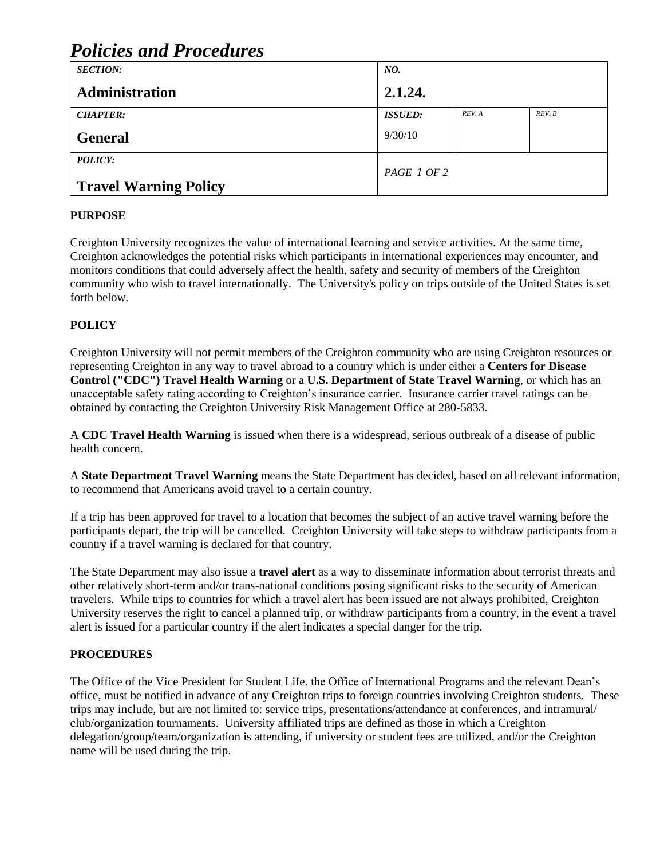# *Policies and Procedures*

| <b>SECTION:</b>              | NO.            |         |        |        |  |
|------------------------------|----------------|---------|--------|--------|--|
| Administration               |                | 2.1.24. |        |        |  |
| <b>CHAPTER:</b>              | <b>ISSUED:</b> |         | REV. A | REV. B |  |
| <b>General</b>               | 9/30/10        |         |        |        |  |
| <b>POLICY:</b>               | PAGE 1 OF 2    |         |        |        |  |
| <b>Travel Warning Policy</b> |                |         |        |        |  |

### **PURPOSE**

Creighton University recognizes the value of international learning and service activities. At the same time, Creighton acknowledges the potential risks which participants in international experiences may encounter, and monitors conditions that could adversely affect the health, safety and security of members of the Creighton community who wish to travel internationally. The University's policy on trips outside of the United States is set forth below.

### **POLICY**

Creighton University will not permit members of the Creighton community who are using Creighton resources or representing Creighton in any way to travel abroad to a country which is under either a **Centers for Disease Control ("CDC") Travel Health Warning** or a **U.S. Department of State Travel Warning**, or which has an unacceptable safety rating according to Creighton's insurance carrier. Insurance carrier travel ratings can be obtained by contacting the Creighton University Risk Management Office at 280-5833.

A **CDC Travel Health Warning** is issued when there is a widespread, serious outbreak of a disease of public health concern.

A **State Department Travel Warning** means the State Department has decided, based on all relevant information, to recommend that Americans avoid travel to a certain country.

If a trip has been approved for travel to a location that becomes the subject of an active travel warning before the participants depart, the trip will be cancelled. Creighton University will take steps to withdraw participants from a country if a travel warning is declared for that country.

The State Department may also issue a **travel alert** as a way to disseminate information about terrorist threats and other relatively short-term and/or trans-national conditions posing significant risks to the security of American travelers. While trips to countries for which a travel alert has been issued are not always prohibited, Creighton University reserves the right to cancel a planned trip, or withdraw participants from a country, in the event a travel alert is issued for a particular country if the alert indicates a special danger for the trip.

#### **PROCEDURES**

The Office of the Vice President for Student Life, the Office of International Programs and the relevant Dean's office, must be notified in advance of any Creighton trips to foreign countries involving Creighton students. These trips may include, but are not limited to: service trips, presentations/attendance at conferences, and intramural/ club/organization tournaments. University affiliated trips are defined as those in which a Creighton delegation/group/team/organization is attending, if university or student fees are utilized, and/or the Creighton name will be used during the trip.